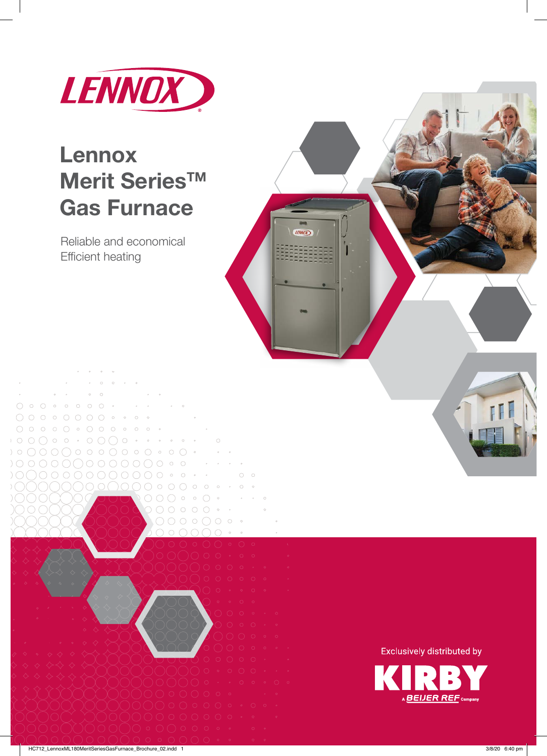

# Lennox **Merit Series™** Gas Furnace

Reliable and economical Efficient heating

 $\begin{array}{ccc} \circ & \circ \end{array}$ 

 $\begin{array}{cccccccccccccc} \circ & \circ & \circ & \circ & \circ & \circ \end{array}$ 

 $\bigcirc$ 

 $0000000000000$ 

0000000

 $\circ$  $\circ$ 

> $\circ$  $\begin{array}{ccc} & & \circ & \\ \circ & & \circ \end{array}$

 $00000$ 

 $\overline{\phantom{0}}$ 

 $\bigcirc$   $\circ$ 

 $\alpha$  .

 $\circ$  $\bigcirc$   $\circ$ 

 $\circ$   $\circ$   $\circ$ 

 $\begin{array}{ccc} \circ & \circ & \circ & \circ & \circ \end{array}$  $0.00000$ 

 $\sim$   $\sim$ 

 $\begin{array}{ccc} \circ & \circ & \circ \circ \end{array}$ 

 $\circ$ 

 $\circ\hspace{0.15cm}\circ$  $\circ$  $\circlearrowright$  $\bigcirc$  $\begin{array}{cccccccccccccc} \circ & \circ & \circ & \circ & \circ & \circ & \circ & \circ & \circ \end{array}$ 

 $\circ$ 

 $\begin{array}{ccc} & \circ & \circ & \circ \end{array}$ 

Exclusively distributed by

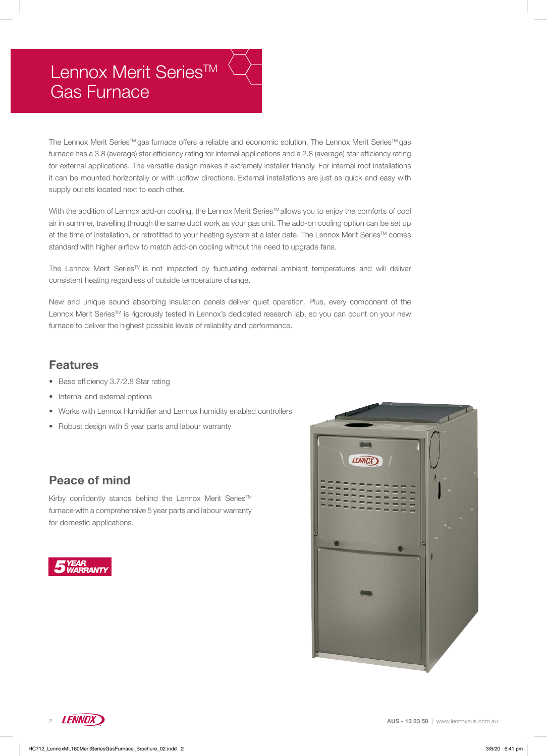## Lennox Merit Series<sup>™</sup> Gas Furnace

The Lennox Merit Series™ gas furnace offers a reliable and economic solution. The Lennox Merit Series™ gas furnace has a 3.8 (average) star efficiency rating for internal applications and a 2.8 (average) star efficiency rating for external applications. The versatile design makes it extremely installer friendly. For internal roof installations it can be mounted horizontally or with upflow directions. External installations are just as quick and easy with supply outlets located next to each other.

With the addition of Lennox add-on cooling, the Lennox Merit Series™ allows you to enjoy the comforts of cool air in summer, travelling through the same duct work as your gas unit. The add-on cooling option can be set up at the time of installation, or retrofitted to your heating system at a later date. The Lennox Merit Series™ comes standard with higher airflow to match add-on cooling without the need to upgrade fans.

The Lennox Merit Series™ is not impacted by fluctuating external ambient temperatures and will deliver consistent heating regardless of outside temperature change.

New and unique sound absorbing insulation panels deliver quiet operation. Plus, every component of the Lennox Merit Series<sup>TM</sup> is rigorously tested in Lennox's dedicated research lab, so you can count on your new furnace to deliver the highest possible levels of reliability and performance.

#### Features

- Base efficiency 3.7/2.8 Star rating
- Internal and external options
- Works with Lennox Humidifier and Lennox humidity enabled controllers
- Robust design with 5 year parts and labour warranty

#### Peace of mind

Kirby confidently stands behind the Lennox Merit Series<sup>™</sup> furnace with a comprehensive 5 year parts and labour warranty for domestic applications.





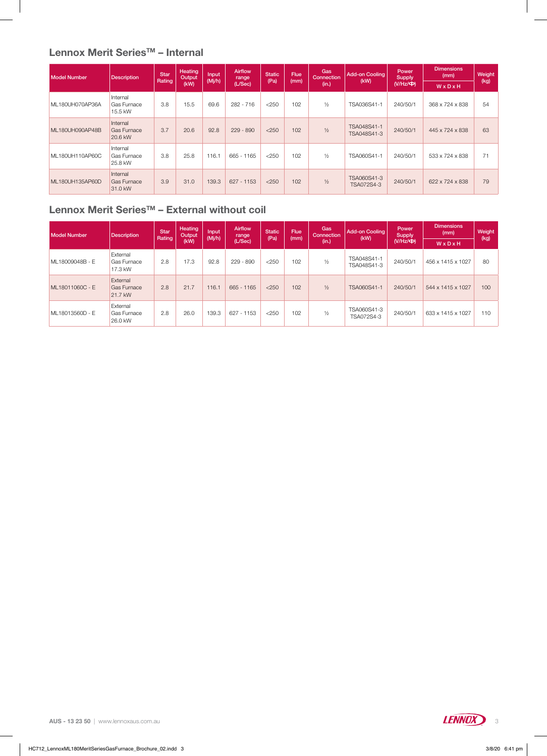#### Lennox Merit Series<sup>™</sup> - Internal

| <b>Model Number</b> | <b>Description</b>                        | <b>Star</b><br>Rating | Heating<br>Output<br>(kW) | Input<br>(Mj/h) | Airflow<br>range<br>(L/Sec) | <b>Static</b><br>(Pa) | Flue<br>(mm) | Gas<br>Connection<br>(in.) | <b>Add-on Cooling</b><br>(KW) | Power<br><b>Supply</b><br>$(V/Hz/\Phi)$ | <b>Dimensions</b><br>(mm) | Weight<br>(kg) |
|---------------------|-------------------------------------------|-----------------------|---------------------------|-----------------|-----------------------------|-----------------------|--------------|----------------------------|-------------------------------|-----------------------------------------|---------------------------|----------------|
|                     |                                           |                       |                           |                 |                             |                       |              |                            |                               |                                         | WxDxH                     |                |
| ML180UH070AP36A     | Internal<br>Gas Furnace<br>15.5 kW        | 3.8                   | 15.5                      | 69.6            | $282 - 716$                 | $<$ 250               | 102          | $\frac{1}{2}$              | TSA036S41-1                   | 240/50/1                                | 368 x 724 x 838           | 54             |
| ML180UH090AP48B     | Internal<br><b>Gas Furnace</b><br>20.6 kW | 3.7                   | 20.6                      | 92.8            | $229 - 890$                 | < 250                 | 102          | $\frac{1}{2}$              | TSA048S41-1<br>TSA048S41-3    | 240/50/1                                | 445 x 724 x 838           | 63             |
| ML180UH110AP60C     | Internal<br>Gas Furnace<br>25.8 kW        | 3.8                   | 25.8                      | 116.1           | 665 - 1165                  | $<$ 250               | 102          | $\frac{1}{2}$              | TSA060S41-1                   | 240/50/1                                | 533 x 724 x 838           | 71             |
| ML180UH135AP60D     | Internal<br><b>Gas Furnace</b><br>31.0 kW | 3.9                   | 31.0                      | 139.3           | $627 - 1153$                | < 250                 | 102          | $\frac{1}{2}$              | TSA060S41-3<br>TSA072S4-3     | 240/50/1                                | 622 x 724 x 838           | 79             |

#### Lennox Merit Series<sup>™</sup> - External without coil

| <b>Model Number</b> | <b>Description</b>                        | <b>Star</b><br>Rating | Heating<br>Output<br>(kW) | Input<br>(Mj/h) | Airflow<br>range<br>(L/Sec) | <b>Static</b><br>(Pa) | Flue<br>(mm) | Gas<br>Connection<br>(in.) | <b>Add-on Cooling</b><br>(KW) | Power<br><b>Supply</b><br>$(V/Hz/\Phi)$ | <b>Dimensions</b><br>(mm) | Weight<br>(kg) |
|---------------------|-------------------------------------------|-----------------------|---------------------------|-----------------|-----------------------------|-----------------------|--------------|----------------------------|-------------------------------|-----------------------------------------|---------------------------|----------------|
|                     |                                           |                       |                           |                 |                             |                       |              |                            |                               |                                         | WxDxH                     |                |
| ML18009048B - E     | External<br>Gas Furnace<br>17.3 kW        | 2.8                   | 17.3                      | 92.8            | 229 - 890                   | $<$ 250               | 102          | $\frac{1}{2}$              | TSA048S41-1<br>TSA048S41-3    | 240/50/1                                | 456 x 1415 x 1027         | 80             |
| ML18011060C - E     | External<br><b>Gas Furnace</b><br>21.7 kW | 2.8                   | 21.7                      | 116.1           | $665 - 1165$                | $<$ 250               | 102          | $\frac{1}{2}$              | TSA060S41-1                   | 240/50/1                                | 544 x 1415 x 1027         | 100            |
| ML18013560D - E     | External<br>Gas Furnace<br>26.0 kW        | 2.8                   | 26.0                      | 139.3           | 627 - 1153                  | $<$ 250               | 102          | $\frac{1}{2}$              | TSA060S41-3<br>TSA072S4-3     | 240/50/1                                | 633 x 1415 x 1027         | 110            |